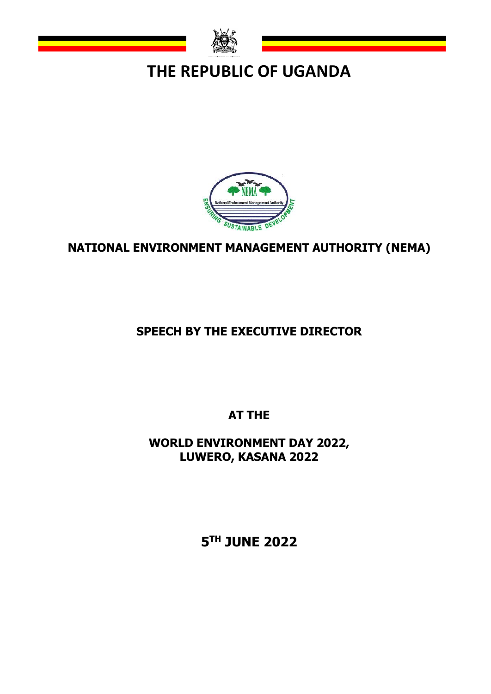

## **THE REPUBLIC OF UGANDA**



## **NATIONAL ENVIRONMENT MANAGEMENT AUTHORITY (NEMA)**

## **SPEECH BY THE EXECUTIVE DIRECTOR**

**AT THE**

**WORLD ENVIRONMENT DAY 2022, LUWERO, KASANA 2022**

**5 TH JUNE 2022**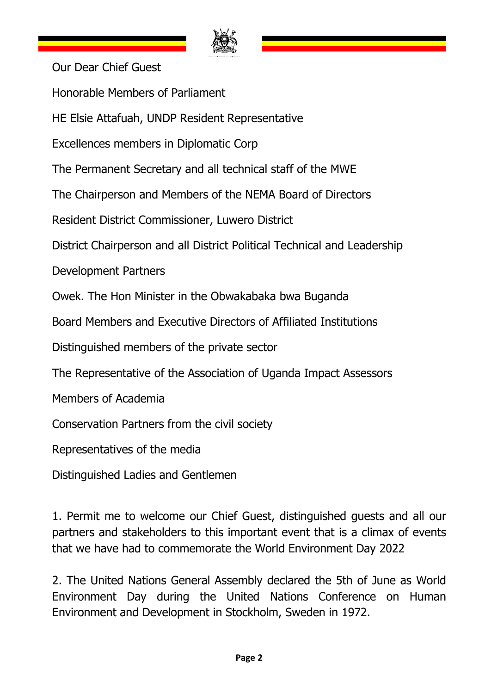

Our Dear Chief Guest Honorable Members of Parliament HE Elsie Attafuah, UNDP Resident Representative Excellences members in Diplomatic Corp The Permanent Secretary and all technical staff of the MWE The Chairperson and Members of the NEMA Board of Directors Resident District Commissioner, Luwero District District Chairperson and all District Political Technical and Leadership Development Partners Owek. The Hon Minister in the Obwakabaka bwa Buganda Board Members and Executive Directors of Affiliated Institutions Distinguished members of the private sector The Representative of the Association of Uganda Impact Assessors Members of Academia Conservation Partners from the civil society Representatives of the media Distinguished Ladies and Gentlemen

1. Permit me to welcome our Chief Guest, distinguished guests and all our partners and stakeholders to this important event that is a climax of events that we have had to commemorate the World Environment Day 2022

2. The United Nations General Assembly declared the 5th of June as World Environment Day during the United Nations Conference on Human Environment and Development in Stockholm, Sweden in 1972.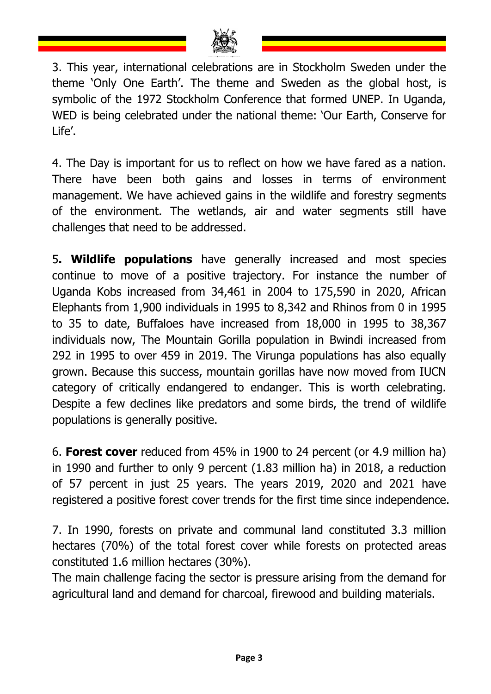

3. This year, international celebrations are in Stockholm Sweden under the theme 'Only One Earth'. The theme and Sweden as the global host, is symbolic of the 1972 Stockholm Conference that formed UNEP. In Uganda, WED is being celebrated under the national theme: 'Our Earth, Conserve for Life'.

4. The Day is important for us to reflect on how we have fared as a nation. There have been both gains and losses in terms of environment management. We have achieved gains in the wildlife and forestry segments of the environment. The wetlands, air and water segments still have challenges that need to be addressed.

5**. Wildlife populations** have generally increased and most species continue to move of a positive trajectory. For instance the number of Uganda Kobs increased from 34,461 in 2004 to 175,590 in 2020, African Elephants from 1,900 individuals in 1995 to 8,342 and Rhinos from 0 in 1995 to 35 to date, Buffaloes have increased from 18,000 in 1995 to 38,367 individuals now, The Mountain Gorilla population in Bwindi increased from 292 in 1995 to over 459 in 2019. The Virunga populations has also equally grown. Because this success, mountain gorillas have now moved from IUCN category of critically endangered to endanger. This is worth celebrating. Despite a few declines like predators and some birds, the trend of wildlife populations is generally positive.

6. **Forest cover** reduced from 45% in 1900 to 24 percent (or 4.9 million ha) in 1990 and further to only 9 percent (1.83 million ha) in 2018, a reduction of 57 percent in just 25 years. The years 2019, 2020 and 2021 have registered a positive forest cover trends for the first time since independence.

7. In 1990, forests on private and communal land constituted 3.3 million hectares (70%) of the total forest cover while forests on protected areas constituted 1.6 million hectares (30%).

The main challenge facing the sector is pressure arising from the demand for agricultural land and demand for charcoal, firewood and building materials.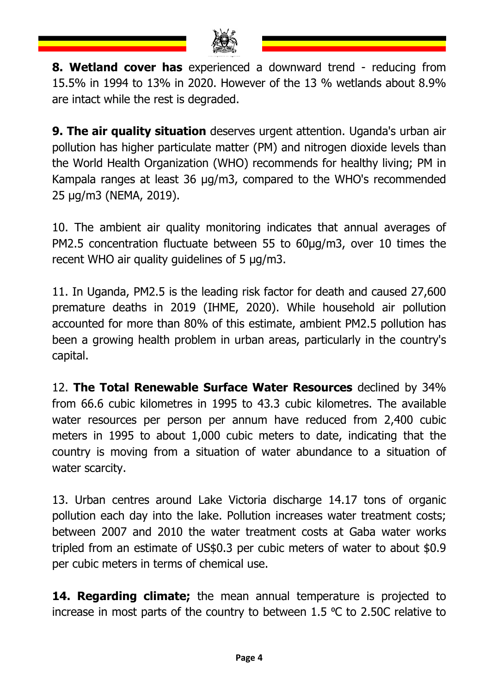

**8. Wetland cover has** experienced a downward trend - reducing from 15.5% in 1994 to 13% in 2020. However of the 13 % wetlands about 8.9% are intact while the rest is degraded.

**9. The air quality situation** deserves urgent attention. Uganda's urban air pollution has higher particulate matter (PM) and nitrogen dioxide levels than the World Health Organization (WHO) recommends for healthy living; PM in Kampala ranges at least 36 μg/m3, compared to the WHO's recommended 25 μg/m3 (NEMA, 2019).

10. The ambient air quality monitoring indicates that annual averages of PM2.5 concentration fluctuate between 55 to 60μg/m3, over 10 times the recent WHO air quality guidelines of 5 μg/m3.

11. In Uganda, PM2.5 is the leading risk factor for death and caused 27,600 premature deaths in 2019 (IHME, 2020). While household air pollution accounted for more than 80% of this estimate, ambient PM2.5 pollution has been a growing health problem in urban areas, particularly in the country's capital.

12. **The Total Renewable Surface Water Resources** declined by 34% from 66.6 cubic kilometres in 1995 to 43.3 cubic kilometres. The available water resources per person per annum have reduced from 2,400 cubic meters in 1995 to about 1,000 cubic meters to date, indicating that the country is moving from a situation of water abundance to a situation of water scarcity.

13. Urban centres around Lake Victoria discharge 14.17 tons of organic pollution each day into the lake. Pollution increases water treatment costs; between 2007 and 2010 the water treatment costs at Gaba water works tripled from an estimate of US\$0.3 per cubic meters of water to about \$0.9 per cubic meters in terms of chemical use.

**14. Regarding climate;** the mean annual temperature is projected to increase in most parts of the country to between 1.5  $\degree$ C to 2.50C relative to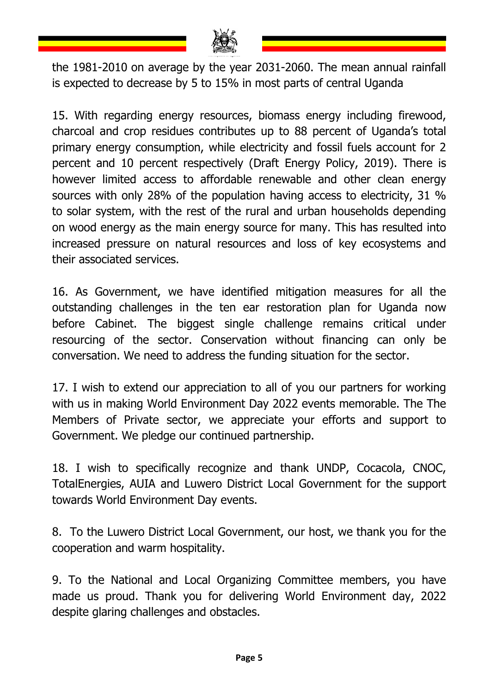

the 1981-2010 on average by the year 2031-2060. The mean annual rainfall is expected to decrease by 5 to 15% in most parts of central Uganda

15. With regarding energy resources, biomass energy including firewood, charcoal and crop residues contributes up to 88 percent of Uganda's total primary energy consumption, while electricity and fossil fuels account for 2 percent and 10 percent respectively (Draft Energy Policy, 2019). There is however limited access to affordable renewable and other clean energy sources with only 28% of the population having access to electricity, 31 % to solar system, with the rest of the rural and urban households depending on wood energy as the main energy source for many. This has resulted into increased pressure on natural resources and loss of key ecosystems and their associated services.

16. As Government, we have identified mitigation measures for all the outstanding challenges in the ten ear restoration plan for Uganda now before Cabinet. The biggest single challenge remains critical under resourcing of the sector. Conservation without financing can only be conversation. We need to address the funding situation for the sector.

17. I wish to extend our appreciation to all of you our partners for working with us in making World Environment Day 2022 events memorable. The The Members of Private sector, we appreciate your efforts and support to Government. We pledge our continued partnership.

18. I wish to specifically recognize and thank UNDP, Cocacola, CNOC, TotalEnergies, AUIA and Luwero District Local Government for the support towards World Environment Day events.

8. To the Luwero District Local Government, our host, we thank you for the cooperation and warm hospitality.

9. To the National and Local Organizing Committee members, you have made us proud. Thank you for delivering World Environment day, 2022 despite glaring challenges and obstacles.